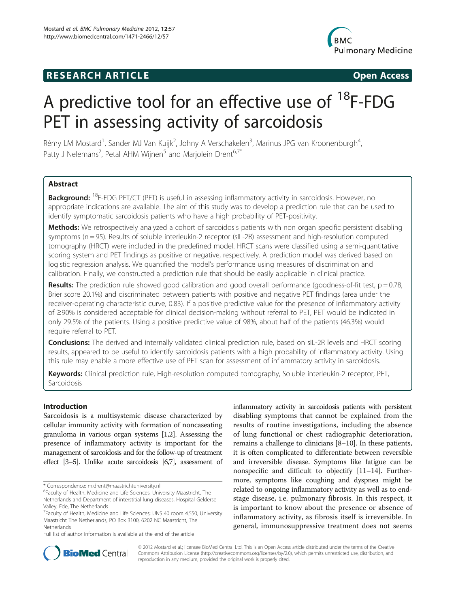# **RESEARCH ARTICLE Example 2018 12:00 Open Access**



# A predictive tool for an effective use of  $^{18}$ F-FDG PET in assessing activity of sarcoidosis

Rémy LM Mostard<sup>1</sup>, Sander MJ Van Kuijk<sup>2</sup>, Johny A Verschakelen<sup>3</sup>, Marinus JPG van Kroonenburgh<sup>4</sup> , Patty J Nelemans<sup>2</sup>, Petal AHM Wijnen<sup>5</sup> and Marjolein Drent<sup>6,7\*</sup>

# **Abstract**

Background: <sup>18</sup>F-FDG PET/CT (PET) is useful in assessing inflammatory activity in sarcoidosis. However, no appropriate indications are available. The aim of this study was to develop a prediction rule that can be used to identify symptomatic sarcoidosis patients who have a high probability of PET-positivity.

Methods: We retrospectively analyzed a cohort of sarcoidosis patients with non organ specific persistent disabling symptoms (n = 95). Results of soluble interleukin-2 receptor (sIL-2R) assessment and high-resolution computed tomography (HRCT) were included in the predefined model. HRCT scans were classified using a semi-quantitative scoring system and PET findings as positive or negative, respectively. A prediction model was derived based on logistic regression analysis. We quantified the model's performance using measures of discrimination and calibration. Finally, we constructed a prediction rule that should be easily applicable in clinical practice.

Results: The prediction rule showed good calibration and good overall performance (goodness-of-fit test,  $p = 0.78$ , Brier score 20.1%) and discriminated between patients with positive and negative PET findings (area under the receiver-operating characteristic curve, 0.83). If a positive predictive value for the presence of inflammatory activity of ≥90% is considered acceptable for clinical decision-making without referral to PET, PET would be indicated in only 29.5% of the patients. Using a positive predictive value of 98%, about half of the patients (46.3%) would require referral to PET.

**Conclusions:** The derived and internally validated clinical prediction rule, based on sIL-2R levels and HRCT scoring results, appeared to be useful to identify sarcoidosis patients with a high probability of inflammatory activity. Using this rule may enable a more effective use of PET scan for assessment of inflammatory activity in sarcoidosis.

Keywords: Clinical prediction rule, High-resolution computed tomography, Soluble interleukin-2 receptor, PET, Sarcoidosis

# Introduction

Sarcoidosis is a multisystemic disease characterized by cellular immunity activity with formation of noncaseating granuloma in various organ systems [\[1,2\]](#page-7-0). Assessing the presence of inflammatory activity is important for the management of sarcoidosis and for the follow-up of treatment effect [\[3](#page-7-0)–[5\]](#page-7-0). Unlike acute sarcoidosis [[6,7\]](#page-7-0), assessment of

\* Correspondence: [m.drent@maastrichtuniversity.nl](mailto:m.drent@maastrichtuniversity.nl) <sup>6</sup>

Full list of author information is available at the end of the article

inflammatory activity in sarcoidosis patients with persistent disabling symptoms that cannot be explained from the results of routine investigations, including the absence of lung functional or chest radiographic deterioration, remains a challenge to clinicians [\[8](#page-7-0)–[10\]](#page-7-0). In these patients, it is often complicated to differentiate between reversible and irreversible disease. Symptoms like fatigue can be nonspecific and difficult to objectify [\[11](#page-7-0)–[14](#page-7-0)]. Furthermore, symptoms like coughing and dyspnea might be related to ongoing inflammatory activity as well as to endstage disease, i.e. pulmonary fibrosis. In this respect, it is important to know about the presence or absence of inflammatory activity, as fibrosis itself is irreversible. In general, immunosuppressive treatment does not seems



© 2012 Mostard et al.; licensee BioMed Central Ltd. This is an Open Access article distributed under the terms of the Creative Commons Attribution License [\(http://creativecommons.org/licenses/by/2.0\)](http://creativecommons.org/licenses/by/2.0), which permits unrestricted use, distribution, and reproduction in any medium, provided the original work is properly cited.

Faculty of Health, Medicine and Life Sciences, University Maastricht, The Netherlands and Department of interstitial lung diseases, Hospital Gelderse Valley, Ede, The Netherlands

<sup>&</sup>lt;sup>7</sup> Faculty of Health, Medicine and Life Sciences; UNS 40 room 4.550, University Maastricht The Netherlands, PO Box 3100, 6202 NC Maastricht, The Netherlands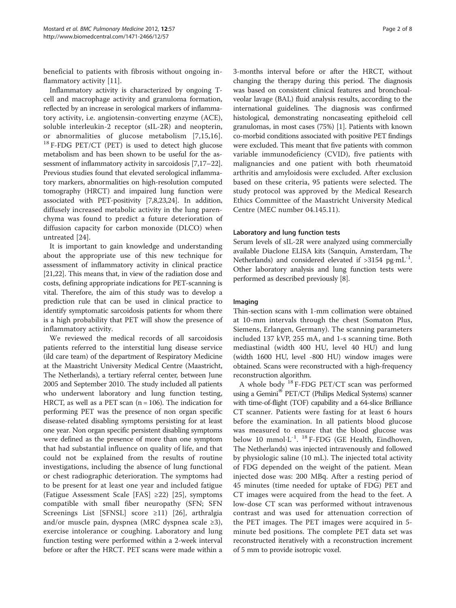beneficial to patients with fibrosis without ongoing inflammatory activity [[11\]](#page-7-0).

Inflammatory activity is characterized by ongoing Tcell and macrophage activity and granuloma formation, reflected by an increase in serological markers of inflammatory activity, i.e. angiotensin-converting enzyme (ACE), soluble interleukin-2 receptor (sIL-2R) and neopterin, or abnormalities of glucose metabolism [[7,15,16\]](#page-7-0). <sup>18</sup> F-FDG PET/CT (PET) is used to detect high glucose metabolism and has been shown to be useful for the assessment of inflammatory activity in sarcoidosis [\[7,17](#page-7-0)–[22](#page-7-0)]. Previous studies found that elevated serological inflammatory markers, abnormalities on high-resolution computed tomography (HRCT) and impaired lung function were associated with PET-positivity [[7,8,23,24\]](#page-7-0). In addition, diffusely increased metabolic activity in the lung parenchyma was found to predict a future deterioration of diffusion capacity for carbon monoxide (DLCO) when untreated [[24\]](#page-7-0).

It is important to gain knowledge and understanding about the appropriate use of this new technique for assessment of inflammatory activity in clinical practice [[21,22](#page-7-0)]. This means that, in view of the radiation dose and costs, defining appropriate indications for PET-scanning is vital. Therefore, the aim of this study was to develop a prediction rule that can be used in clinical practice to identify symptomatic sarcoidosis patients for whom there is a high probability that PET will show the presence of inflammatory activity.

We reviewed the medical records of all sarcoidosis patients referred to the interstitial lung disease service (ild care team) of the department of Respiratory Medicine at the Maastricht University Medical Centre (Maastricht, The Netherlands), a tertiary referral center, between June 2005 and September 2010. The study included all patients who underwent laboratory and lung function testing, HRCT, as well as a PET scan  $(n = 106)$ . The indication for performing PET was the presence of non organ specific disease-related disabling symptoms persisting for at least one year. Non organ specific persistent disabling symptoms were defined as the presence of more than one symptom that had substantial influence on quality of life, and that could not be explained from the results of routine investigations, including the absence of lung functional or chest radiographic deterioration. The symptoms had to be present for at least one year and included fatigue (Fatigue Assessment Scale [FAS] ≥22) [[25](#page-7-0)], symptoms compatible with small fiber neuropathy (SFN; SFN Screenings List [SFNSL] score ≥11) [[26\]](#page-7-0), arthralgia and/or muscle pain, dyspnea (MRC dyspnea scale ≥3), exercise intolerance or coughing. Laboratory and lung function testing were performed within a 2-week interval before or after the HRCT. PET scans were made within a

3-months interval before or after the HRCT, without changing the therapy during this period. The diagnosis was based on consistent clinical features and bronchoalveolar lavage (BAL) fluid analysis results, according to the international guidelines. The diagnosis was confirmed histological, demonstrating noncaseating epitheloid cell granulomas, in most cases (75%) [[1\]](#page-7-0). Patients with known co-morbid conditions associated with positive PET findings were excluded. This meant that five patients with common variable immunodeficiency (CVID), five patients with malignancies and one patient with both rheumatoid arthritis and amyloidosis were excluded. After exclusion based on these criteria, 95 patients were selected. The study protocol was approved by the Medical Research Ethics Committee of the Maastricht University Medical Centre (MEC number 04.145.11).

## Laboratory and lung function tests

Serum levels of sIL-2R were analyzed using commercially available Diaclone ELISA kits (Sanquin, Amsterdam, The Netherlands) and considered elevated if  $>3154$  pg·mL<sup>-1</sup>. Other laboratory analysis and lung function tests were performed as described previously [\[8\]](#page-7-0).

#### Imaging

Thin-section scans with 1-mm collimation were obtained at 10-mm intervals through the chest (Somaton Plus, Siemens, Erlangen, Germany). The scanning parameters included 137 kVP, 255 mA, and 1-s scanning time. Both mediastinal (width 400 HU, level 40 HU) and lung (width 1600 HU, level -800 HU) window images were obtained. Scans were reconstructed with a high-frequency reconstruction algorithm.

A whole body <sup>18</sup> F-FDG PET/CT scan was performed using a Gemini<sup>®</sup> PET/CT (Philips Medical Systems) scanner with time-of-flight (TOF) capability and a 64-slice Brilliance CT scanner. Patients were fasting for at least 6 hours before the examination. In all patients blood glucose was measured to ensure that the blood glucose was below 10 mmol $\cdot$ L<sup>-1</sup>.<sup>18</sup> F-FDG (GE Health, Eindhoven, The Netherlands) was injected intravenously and followed by physiologic saline (10 mL). The injected total activity of FDG depended on the weight of the patient. Mean injected dose was: 200 MBq. After a resting period of 45 minutes (time needed for uptake of FDG) PET and CT images were acquired from the head to the feet. A low-dose CT scan was performed without intravenous contrast and was used for attenuation correction of the PET images. The PET images were acquired in 5 minute bed positions. The complete PET data set was reconstructed iteratively with a reconstruction increment of 5 mm to provide isotropic voxel.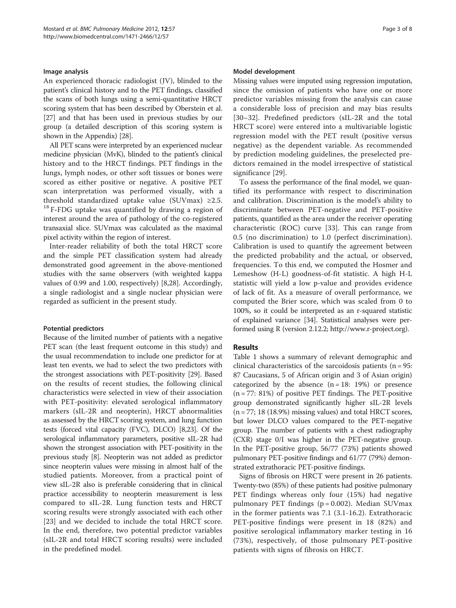#### Image analysis

An experienced thoracic radiologist (JV), blinded to the patient's clinical history and to the PET findings, classified the scans of both lungs using a semi-quantitative HRCT scoring system that has been described by Oberstein et al. [[27](#page-7-0)] and that has been used in previous studies by our group (a detailed description of this scoring system is shown in the [Appendix](#page-6-0)) [\[28\]](#page-7-0).

All PET scans were interpreted by an experienced nuclear medicine physician (MvK), blinded to the patient's clinical history and to the HRCT findings. PET findings in the lungs, lymph nodes, or other soft tissues or bones were scored as either positive or negative. A positive PET scan interpretation was performed visually, with a threshold standardized uptake value (SUVmax) ≥2.5. <sup>18</sup> F-FDG uptake was quantified by drawing a region of interest around the area of pathology of the co-registered transaxial slice. SUVmax was calculated as the maximal pixel activity within the region of interest.

Inter-reader reliability of both the total HRCT score and the simple PET classification system had already demonstrated good agreement in the above-mentioned studies with the same observers (with weighted kappa values of 0.99 and 1.00, respectively) [[8,28\]](#page-7-0). Accordingly, a single radiologist and a single nuclear physician were regarded as sufficient in the present study.

# Potential predictors

Because of the limited number of patients with a negative PET scan (the least frequent outcome in this study) and the usual recommendation to include one predictor for at least ten events, we had to select the two predictors with the strongest associations with PET-positivity [[29](#page-7-0)]. Based on the results of recent studies, the following clinical characteristics were selected in view of their association with PET-positivity: elevated serological inflammatory markers (sIL-2R and neopterin), HRCT abnormalities as assessed by the HRCT scoring system, and lung function tests (forced vital capacity (FVC), DLCO) [\[8,23](#page-7-0)]. Of the serological inflammatory parameters, positive sIL-2R had shown the strongest association with PET-positivity in the previous study [\[8\]](#page-7-0). Neopterin was not added as predictor since neopterin values were missing in almost half of the studied patients. Moreover, from a practical point of view sIL-2R also is preferable considering that in clinical practice accessibility to neopterin measurement is less compared to sIL-2R. Lung function tests and HRCT scoring results were strongly associated with each other [[23\]](#page-7-0) and we decided to include the total HRCT score. In the end, therefore, two potential predictor variables (sIL-2R and total HRCT scoring results) were included in the predefined model.

#### Model development

Missing values were imputed using regression imputation, since the omission of patients who have one or more predictor variables missing from the analysis can cause a considerable loss of precision and may bias results [[30](#page-7-0)–[32\]](#page-7-0). Predefined predictors (sIL-2R and the total HRCT score) were entered into a multivariable logistic regression model with the PET result (positive versus negative) as the dependent variable. As recommended by prediction modeling guidelines, the preselected predictors remained in the model irrespective of statistical significance [\[29](#page-7-0)].

To assess the performance of the final model, we quantified its performance with respect to discrimination and calibration. Discrimination is the model's ability to discriminate between PET-negative and PET-positive patients, quantified as the area under the receiver operating characteristic (ROC) curve [\[33](#page-7-0)]. This can range from 0.5 (no discrimination) to 1.0 (perfect discrimination). Calibration is used to quantify the agreement between the predicted probability and the actual, or observed, frequencies. To this end, we computed the Hosmer and Lemeshow (H-L) goodness-of-fit statistic. A high H-L statistic will yield a low p-value and provides evidence of lack of fit. As a measure of overall performance, we computed the Brier score, which was scaled from 0 to 100%, so it could be interpreted as an r-squared statistic of explained variance [\[34\]](#page-7-0). Statistical analyses were performed using R (version 2.12.2;<http://www.r-project.org>).

# Results

Table [1](#page-3-0) shows a summary of relevant demographic and clinical characteristics of the sarcoidosis patients ( $n = 95$ : 87 Caucasians, 5 of African origin and 3 of Asian origin) categorized by the absence  $(n = 18: 19%)$  or presence (n = 77: 81%) of positive PET findings. The PET-positive group demonstrated significantly higher sIL-2R levels  $(n = 77; 18 (18.9%)$  missing values) and total HRCT scores, but lower DLCO values compared to the PET-negative group. The number of patients with a chest radiography (CXR) stage 0/I was higher in the PET-negative group. In the PET-positive group, 56/77 (73%) patients showed pulmonary PET-positive findings and 61/77 (79%) demonstrated extrathoracic PET-positive findings.

Signs of fibrosis on HRCT were present in 26 patients. Twenty-two (85%) of these patients had positive pulmonary PET findings whereas only four (15%) had negative pulmonary PET findings  $(p = 0.002)$ . Median SUVmax in the former patients was 7.1 (3.1-16.2). Extrathoracic PET-positive findings were present in 18 (82%) and positive serological inflammatory marker testing in 16 (73%), respectively, of those pulmonary PET-positive patients with signs of fibrosis on HRCT.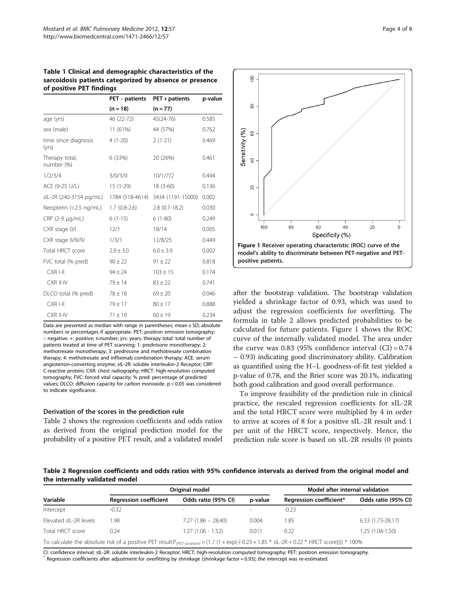<span id="page-3-0"></span>Table 1 Clinical and demographic characteristics of the sarcoidosis patients categorized by absence or presence of positive PET findings

|                               | PET - patients  | PET + patients    | p-value |  |
|-------------------------------|-----------------|-------------------|---------|--|
|                               | $(n = 18)$      | $(n = 77)$        |         |  |
| age (yrs)                     | 46 (22-72)      | 45(24-76)         | 0.585   |  |
| sex (male)                    | 11 (61%)        | 44 (57%)          | 0.762   |  |
| time since diagnosis<br>(yrs) | $4(1-20)$       | $2(1-21)$         | 0.469   |  |
| Therapy total,<br>number (%)  | 6 (33%)         | 20 (26%)          | 0.461   |  |
| 1/2/3/4                       | 3/0/3/0         | 10/1/7/2          | 0.444   |  |
| ACE (9-25 U/L)                | $15(1-29)$      | $18(3-60)$        | 0.136   |  |
| sIL-2R (240-3154 pg/mL)       | 1784 (518-4614) | 3434 (1191-15000) | 0.002   |  |
| Neopterin (<2.5 ng/mL)        | $1.7(0.8-2.6)$  | $2.8(0.7-18.2)$   | 0.030   |  |
| CRP (2-9 µg/mL)               | $6(1-15)$       | $6(1-80)$         | 0.249   |  |
| CXR stage 0/l                 | 12/1            | 18/14             | 0.005   |  |
| CXR stage II/III/IV           | 1/3/1           | 12/8/25           | 0.449   |  |
| Total HRCT score              | $2.9 \pm 3.0$   | $6.0 \pm 3.9$     | 0.002   |  |
| FVC total (% pred)            | $90 \pm 22$     | $91 \pm 22$       | 0.818   |  |
| CXR I-II                      | $94 \pm 24$     | $103 \pm 15$      | 0.174   |  |
| CXR II-IV                     | $79 \pm 14$     | $83 \pm 22$       | 0.741   |  |
| DLCO total (% pred)           | $78 + 18$       | $69 \pm 20$       | 0.046   |  |
| CXR I-II                      | $79 \pm 17$     | $80 \pm 17$       | 0.888   |  |
| CXR II-IV                     | $71 \pm 19$     | $60 \pm 19$       | 0.234   |  |

Data are presented as median with range in parentheses; mean  $\pm$  SD; absolute numbers or percentages if appropriate. PET: positron emission tomography; -: negative; +: positive; n:number; yrs: years; therapy total: total number of patients treated at time of PET scanning; 1: prednisone monotherapy; 2: methotrexate monotherapy; 3: prednisone and methotrexate combination therapy; 4: methotrexate and infliximab combination therapy; ACE: serum angiotensin-converting enzyme; sIL-2R: soluble interleukin-2 Receptor; CRP: C-reactive protein; CXR: chest radiography; HRCT: high-resolution computed tomography; FVC: forced vital capacity; % pred: percentage of predicted values; DLCO: diffusion capacity for carbon monoxide. p < 0.05 was considered to indicate significance.

#### Derivation of the scores in the prediction rule

Table 2 shows the regression coefficients and odds ratios as derived from the original prediction model for the probability of a positive PET result, and a validated model



after the bootstrap validation. The bootstrap validation yielded a shrinkage factor of 0.93, which was used to adjust the regression coefficients for overfitting. The formula in table 2 allows predicted probabilities to be calculated for future patients. Figure 1 shows the ROC curve of the internally validated model. The area under the curve was 0.83 (95% confidence interval  $(CI) = 0.74$ – 0.93) indicating good discriminatory ability. Calibration as quantified using the H–L goodness-of-fit test yielded a p-value of 0.78, and the Brier score was 20.1%, indicating both good calibration and good overall performance.

To improve feasibility of the prediction rule in clinical practice, the rescaled regression coefficients for sIL-2R and the total HRCT score were multiplied by 4 in order to arrive at scores of 8 for a positive sIL-2R result and 1 per unit of the HRCT score, respectively. Hence, the prediction rule score is based on sIL-2R results (0 points

Table 2 Regression coefficients and odds ratios with 95% confidence intervals as derived from the original model and the internally validated model

|                        | Original model                |                      |         | Model after internal validation                                                                                                                                            |                     |  |
|------------------------|-------------------------------|----------------------|---------|----------------------------------------------------------------------------------------------------------------------------------------------------------------------------|---------------------|--|
| Variable               | <b>Regression coefficient</b> | Odds ratio (95% CI)  | p-value | Regression coefficient*                                                                                                                                                    | Odds ratio (95% CI) |  |
| Intercept              | $-0.32$                       | $\sim$               |         | $-0.23$                                                                                                                                                                    | $\sim$              |  |
| Elevated sIL-2R levels | 1.98                          | $7.27(1.86 - 28.40)$ | 0.004   | 1.85                                                                                                                                                                       | $6.33(1.73-28.17)$  |  |
| Total HRCT score       | 0.24                          | $1.27(1.06 - 1.52)$  | 0.011   | 0.22                                                                                                                                                                       | 1.25 (1.04-1.50)    |  |
|                        |                               |                      |         | To calculate the absolute risk of a positive PET result: $P_{(PET\text{-}positive)} = (1 / (1 + \exp(-(0.23 + 1.85 * \text{slL} - 2R + 0.22 * \text{HRT score}))) * 100\%$ |                     |  |

CI: confidence interval; sIL-2R: soluble interleukin-2 Receptor; HRCT: high-resolution computed tomography; PET: positron emission tomography.<br>\* Regression coefficients after adjustment for overfitting by shrinkage (shrink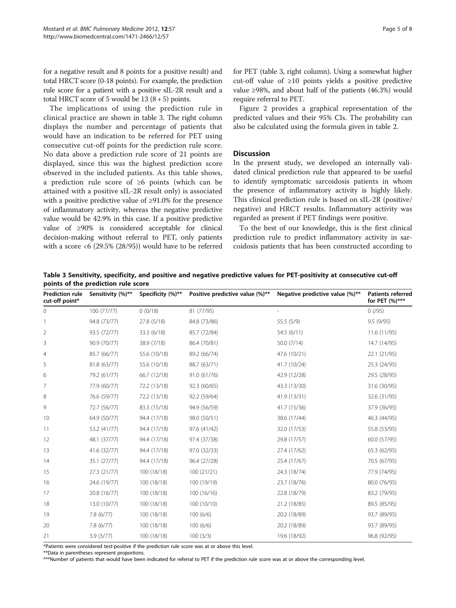<span id="page-4-0"></span>for a negative result and 8 points for a positive result) and total HRCT score (0-18 points). For example, the prediction rule score for a patient with a positive sIL-2R result and a total HRCT score of 5 would be  $13(8+5)$  points.

The implications of using the prediction rule in clinical practice are shown in table 3. The right column displays the number and percentage of patients that would have an indication to be referred for PET using consecutive cut-off points for the prediction rule score. No data above a prediction rule score of 21 points are displayed, since this was the highest prediction score observed in the included patients. As this table shows, a prediction rule score of ≥6 points (which can be attained with a positive sIL-2R result only) is associated with a positive predictive value of ≥91.0% for the presence of inflammatory activity, whereas the negative predictive value would be 42.9% in this case. If a positive predictive value of ≥90% is considered acceptable for clinical decision-making without referral to PET, only patients with a score <6 (29.5% (28/95)) would have to be referred for PET (table 3, right column). Using a somewhat higher cut-off value of ≥10 points yields a positive predictive value ≥98%, and about half of the patients (46.3%) would require referral to PET.

Figure [2](#page-5-0) provides a graphical representation of the predicted values and their 95% CIs. The probability can also be calculated using the formula given in table [2](#page-3-0).

#### **Discussion**

In the present study, we developed an internally validated clinical prediction rule that appeared to be useful to identify symptomatic sarcoidosis patients in whom the presence of inflammatory activity is highly likely. This clinical prediction rule is based on sIL-2R (positive/ negative) and HRCT results. Inflammatory activity was regarded as present if PET findings were positive.

To the best of our knowledge, this is the first clinical prediction rule to predict inflammatory activity in sarcoidosis patients that has been constructed according to

Table 3 Sensitivity, specificity, and positive and negative predictive values for PET-positivity at consecutive cut-off points of the prediction rule score

| <b>Prediction rule</b><br>cut-off point* | Sensitivity (%)** | Specificity (%)** | Positive predictive value (%)** | Negative predictive value (%)** | <b>Patients referred</b><br>for PET (%)*** |
|------------------------------------------|-------------------|-------------------|---------------------------------|---------------------------------|--------------------------------------------|
| 0                                        | 100 (77/77)       | 0(0/18)           | 81 (77/95)                      |                                 | 0(95)                                      |
|                                          | 94.8 (73/77)      | 27.8 (5/18)       | 84.8 (73/86)                    | 55.5 (5/9)                      | 9.5(9/95)                                  |
| 2                                        | 93.5 (72/77)      | 33.3 (6/18)       | 85.7 (72/84)                    | 54.5 (6/11)                     | 11.6 (11/95)                               |
| 3                                        | 90.9 (70/77)      | 38.9 (7/18)       | 86.4 (70/81)                    | 50.0 (7/14)                     | 14.7 (14/95)                               |
| 4                                        | 85.7 (66/77)      | 55.6 (10/18)      | 89.2 (66/74)                    | 47.6 (10/21)                    | 22.1 (21/95)                               |
| 5                                        | 81.8 (63/77)      | 55.6 (10/18)      | 88.7 (63/71)                    | 41.7 (10/24)                    | 25.3 (24/95)                               |
| 6                                        | 79.2 (61/77)      | 66.7 (12/18)      | 91.0 (61/76)                    | 42.9 (12/28)                    | 29.5 (28/95)                               |
| 7                                        | 77.9 (60/77)      | 72.2 (13/18)      | 92.3 (60/65)                    | 43.3 (13/30)                    | 31.6 (30/95)                               |
| 8                                        | 76.6 (59/77)      | 72.2 (13/18)      | 92.2 (59/64)                    | 41.9 (13/31)                    | 32.6 (31/95)                               |
| 9                                        | 72.7 (56/77)      | 83.3 (15/18)      | 94.9 (56/59)                    | 41.7 (15/36)                    | 37.9 (36/95)                               |
| 10                                       | 64.9 (50/77)      | 94.4 (17/18)      | 98.0 (50/51)                    | 38.6 (17/44)                    | 46.3 (44/95)                               |
| 11                                       | 53.2 (41/77)      | 94.4 (17/18)      | 97.6 (41/42)                    | 32.0 (17/53)                    | 55.8 (53/95)                               |
| 12                                       | 48.1 (37/77)      | 94.4 (17/18)      | 97.4 (37/38)                    | 29.8 (17/57)                    | 60.0 (57/95)                               |
| 13                                       | 41.6 (32/77)      | 94.4 (17/18)      | 97.0 (32/33)                    | 27.4 (17/62)                    | 65.3 (62/95)                               |
| 14                                       | 35.1 (27/77)      | 94.4 (17/18)      | 96.4 (27/28)                    | 25.4 (17/67)                    | 70.5 (67/95)                               |
| 15                                       | 27.3 (21/77)      | 100 (18/18)       | 100 (21/21)                     | 24.3 (18/74)                    | 77.9 (74/95)                               |
| 16                                       | 24.6 (19/77)      | 100 (18/18)       | 100 (19/19)                     | 23.7 (18/76)                    | 80.0 (76/95)                               |
| 17                                       | 20.8 (16/77)      | 100 (18/18)       | 100(16/16)                      | 22.8 (18/79)                    | 83.2 (79/95)                               |
| 18                                       | 13.0 (10/77)      | 100 (18/18)       | 100 (10/10)                     | 21.2 (18/85)                    | 89.5 (85/95)                               |
| 19                                       | 7.8(6/77)         | 100 (18/18)       | 100(6/6)                        | 20.2 (18/89)                    | 93.7 (89/95)                               |
| 20                                       | 7.8(6/77)         | 100 (18/18)       | 100(6/6)                        | 20.2 (18/89)                    | 93.7 (89/95)                               |
| 21                                       | 3.9(3/77)         | 100 (18/18)       | 100(3/3)                        | 19.6 (18/92)                    | 96.8 (92/95)                               |

\*Patients were considered test-positive if the prediction rule score was at or above this level.

\*\*Data in parentheses represent proportions.

\*\*\*Number of patients that would have been indicated for referral to PET if the prediction rule score was at or above the corresponding level.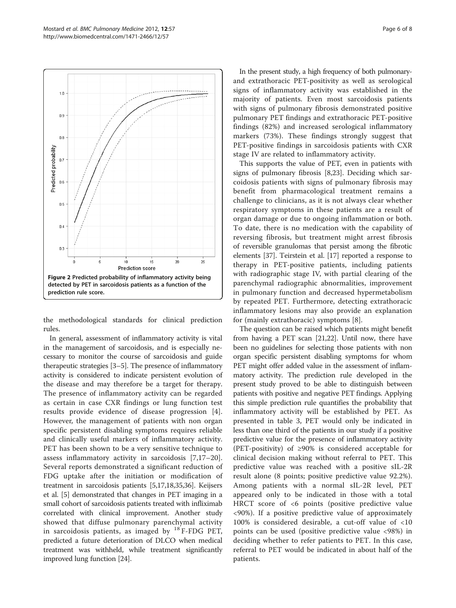<span id="page-5-0"></span>

the methodological standards for clinical prediction rules.

In general, assessment of inflammatory activity is vital in the management of sarcoidosis, and is especially necessary to monitor the course of sarcoidosis and guide therapeutic strategies [\[3](#page-7-0)–[5\]](#page-7-0). The presence of inflammatory activity is considered to indicate persistent evolution of the disease and may therefore be a target for therapy. The presence of inflammatory activity can be regarded as certain in case CXR findings or lung function test results provide evidence of disease progression [\[4](#page-7-0)]. However, the management of patients with non organ specific persistent disabling symptoms requires reliable and clinically useful markers of inflammatory activity. PET has been shown to be a very sensitive technique to assess inflammatory activity in sarcoidosis [[7,17](#page-7-0)–[20](#page-7-0)]. Several reports demonstrated a significant reduction of FDG uptake after the initiation or modification of treatment in sarcoidosis patients [[5,17,18,35,36](#page-7-0)]. Keijsers et al. [\[5\]](#page-7-0) demonstrated that changes in PET imaging in a small cohort of sarcoidosis patients treated with infliximab correlated with clinical improvement. Another study showed that diffuse pulmonary parenchymal activity in sarcoidosis patients, as imaged by  $^{18}$  F-FDG PET, predicted a future deterioration of DLCO when medical treatment was withheld, while treatment significantly improved lung function [\[24\]](#page-7-0).

In the present study, a high frequency of both pulmonaryand extrathoracic PET-positivity as well as serological signs of inflammatory activity was established in the majority of patients. Even most sarcoidosis patients with signs of pulmonary fibrosis demonstrated positive pulmonary PET findings and extrathoracic PET-positive findings (82%) and increased serological inflammatory markers (73%). These findings strongly suggest that PET-positive findings in sarcoidosis patients with CXR stage IV are related to inflammatory activity.

This supports the value of PET, even in patients with signs of pulmonary fibrosis [\[8,23](#page-7-0)]. Deciding which sarcoidosis patients with signs of pulmonary fibrosis may benefit from pharmacological treatment remains a challenge to clinicians, as it is not always clear whether respiratory symptoms in these patients are a result of organ damage or due to ongoing inflammation or both. To date, there is no medication with the capability of reversing fibrosis, but treatment might arrest fibrosis of reversible granulomas that persist among the fibrotic elements [[37\]](#page-7-0). Teirstein et al. [\[17](#page-7-0)] reported a response to therapy in PET-positive patients, including patients with radiographic stage IV, with partial clearing of the parenchymal radiographic abnormalities, improvement in pulmonary function and decreased hypermetabolism by repeated PET. Furthermore, detecting extrathoracic inflammatory lesions may also provide an explanation for (mainly extrathoracic) symptoms [\[8](#page-7-0)].

The question can be raised which patients might benefit from having a PET scan [\[21,22\]](#page-7-0). Until now, there have been no guidelines for selecting those patients with non organ specific persistent disabling symptoms for whom PET might offer added value in the assessment of inflammatory activity. The prediction rule developed in the present study proved to be able to distinguish between patients with positive and negative PET findings. Applying this simple prediction rule quantifies the probability that inflammatory activity will be established by PET. As presented in table [3](#page-4-0), PET would only be indicated in less than one third of the patients in our study if a positive predictive value for the presence of inflammatory activity (PET-positivity) of ≥90% is considered acceptable for clinical decision making without referral to PET. This predictive value was reached with a positive sIL-2R result alone (8 points; positive predictive value 92.2%). Among patients with a normal sIL-2R level, PET appeared only to be indicated in those with a total HRCT score of <6 points (positive predictive value <90%). If a positive predictive value of approximately 100% is considered desirable, a cut-off value of <10 points can be used (positive predictive value <98%) in deciding whether to refer patients to PET. In this case, referral to PET would be indicated in about half of the patients.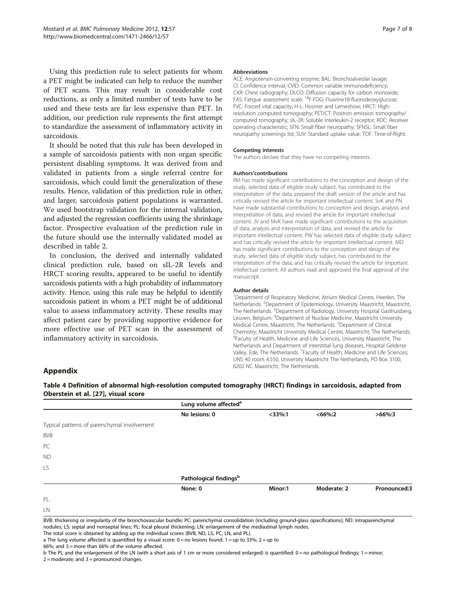<span id="page-6-0"></span>Using this prediction rule to select patients for whom a PET might be indicated can help to reduce the number of PET scans. This may result in considerable cost reductions, as only a limited number of tests have to be used and these tests are far less expensive than PET. In addition, our prediction rule represents the first attempt to standardize the assessment of inflammatory activity in sarcoidosis.

It should be noted that this rule has been developed in a sample of sarcoidosis patients with non organ specific persistent disabling symptoms. It was derived from and validated in patients from a single referral centre for sarcoidosis, which could limit the generalization of these results. Hence, validation of this prediction rule in other, and larger, sarcoidosis patient populations is warranted. We used bootstrap validation for the internal validation, and adjusted the regression coefficients using the shrinkage factor. Prospective evaluation of the prediction rule in the future should use the internally validated model as described in table [2](#page-3-0).

In conclusion, the derived and internally validated clinical prediction rule, based on sIL-2R levels and HRCT scoring results, appeared to be useful to identify sarcoidosis patients with a high probability of inflammatory activity. Hence, using this rule may be helpful to identify sarcoidosis patient in whom a PET might be of additional value to assess inflammatory activity. These results may affect patient care by providing supportive evidence for more effective use of PET scan in the assessment of inflammatory activity in sarcoidosis.

#### **Abbreviations**

ACE: Angiotensin-converting enzyme; BAL: Bronchoalveolar lavage; CI: Confidence interval; CVID: Common variable immunodeficiency; CXR: Chest radiography; DLCO: Diffusion capacity for carbon monoxide; FAS: Fatigue assessment scale; 18F-FDG: Fluorine18-fluorodeoxyglucose; FVC: Forced vital capacity; H-L: Hosmer and Lemeshow; HRCT: Highresolution computed tomography; PET/CT: Positron emission tomography/ computed tomography; sIL-2R: Soluble interleukin-2 receptor; ROC: Receiver operating characteristic; SFN: Small fiber neuropathy; SFNSL: Small fiber neuropathy screenings list; SUV: Standard uptake value; TOF: Time-of-flight.

#### Competing interests

The authors declare that they have no competing interests.

#### Authors'contributions

RM has made significant contributions to the conception and design of the study, selected data of eligible study subject, has contributed to the interpretation of the data, prepared the draft version of the article and has critically revised the article for important intellectual content. SvK and PN have made substantial contributions to conception and design, analysis and interpretation of data, and revised the article for important intellectual content. JV and MvK have made significant contributions to the acquisition of data, analysis and interpretation of data, and revised the article for important intellectual content. PW has selected data of eligible study subject and has critically revised the article for important intellectual content. MD has made significant contributions to the conception and design of the study, selected data of eligible study subject, has contributed to the interpretation of the data, and has critically revised the article for important intellectual content. All authors read and approved the final approval of the manuscript.

#### Author details

<sup>1</sup>Department of Respiratory Medicine, Atrium Medical Centre, Heerlen, The Netherlands. <sup>2</sup>Department of Epidemiology, University Maastricht, Maastricht, The Netherlands. <sup>3</sup>Department of Radiology, University Hospital Gasthuisberg, Leuven, Belgium. <sup>4</sup>Department of Nuclear Medicine, Maastricht University Medical Centre, Maastricht, The Netherlands. <sup>5</sup>Department of Clinical Chemistry, Maastricht University Medical Centre, Maastricht, The Netherlands. <sup>6</sup>Faculty of Health, Medicine and Life Sciences, University Maastricht, The Netherlands and Department of interstitial lung diseases, Hospital Gelderse Valley, Ede, The Netherlands. <sup>7</sup>Faculty of Health, Medicine and Life Sciences UNS 40 room 4.550, University Maastricht The Netherlands, PO Box 3100, 6202 NC Maastricht, The Netherlands.

#### Appendix

Table 4 Definition of abnormal high-resolution computed tomography (HRCT) findings in sarcoidosis, adapted from Oberstein et al. [\[27](#page-7-0)], visual score

|                                             | Lung volume affected <sup>a</sup>  |           |             |              |  |
|---------------------------------------------|------------------------------------|-----------|-------------|--------------|--|
|                                             | No lesions: 0                      | $<$ 33%:1 | $<66\%:2$   | $>66\%$ :3   |  |
| Typical patterns of parenchymal involvement |                                    |           |             |              |  |
| <b>BVB</b>                                  |                                    |           |             |              |  |
| PC                                          |                                    |           |             |              |  |
| <b>ND</b>                                   |                                    |           |             |              |  |
| LS.                                         |                                    |           |             |              |  |
|                                             | Pathological findings <sup>b</sup> |           |             |              |  |
|                                             | None: 0                            | Minor:1   | Moderate: 2 | Pronounced:3 |  |
| PL                                          |                                    |           |             |              |  |
| LN                                          |                                    |           |             |              |  |

BVB: thickening or irregularity of the bronchovascular bundle; PC: parenchymal consolidation (including ground-glass opacifications); ND: intraparenchymal nodules; LS: septal and nonseptal lines; PL: focal pleural thickening; LN: enlargement of the mediastinal lymph nodes.

The total score is obtained by adding up the individual scores (BVB, ND, LS, PC, LN, and PL).

a The lung volume affected is quantified by a visual score:  $0 =$  no lesions found;  $1 =$  up to 33%;  $2 =$  up to

66%; and 3 = more than 66% of the volume affected.

b The PL and the enlargement of the LN (with a short axis of 1 cm or more considered enlarged) is quantified: 0 = no pathological findings; 1 = minor;  $2 =$  moderate; and  $3 =$  pronounced changes.